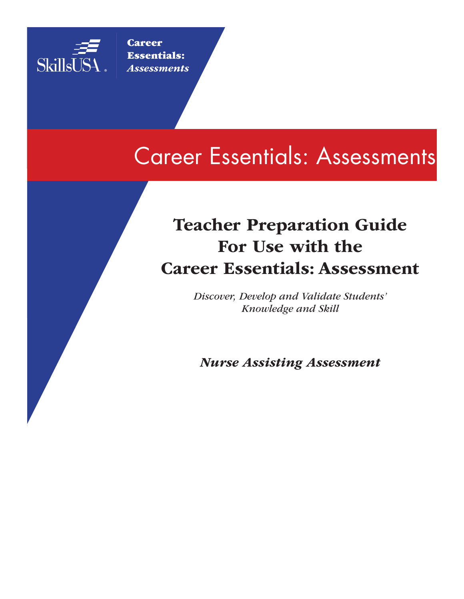

**Career** Essentials: *Assessments*

# Career Essentials: Assessments

## Teacher Preparation Guide For Use with the Career Essentials: Assessment

*Discover, Develop and Validate Students' Knowledge and Skill*

*Nurse Assisting Assessment*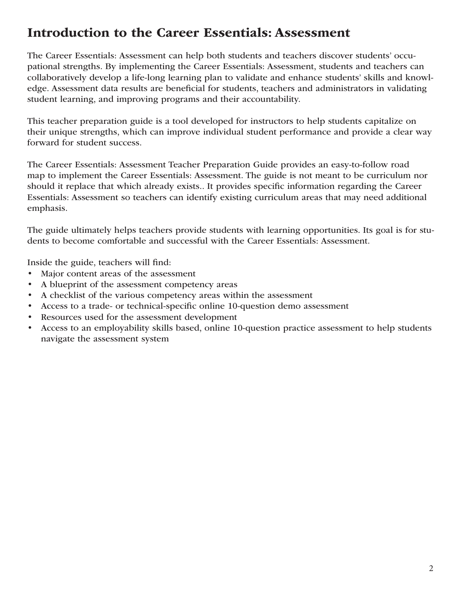## Introduction to the Career Essentials: Assessment

The Career Essentials: Assessment can help both students and teachers discover students' occupational strengths. By implementing the Career Essentials: Assessment, students and teachers can collaboratively develop a life-long learning plan to validate and enhance students' skills and knowledge. Assessment data results are beneficial for students, teachers and administrators in validating student learning, and improving programs and their accountability.

This teacher preparation guide is a tool developed for instructors to help students capitalize on their unique strengths, which can improve individual student performance and provide a clear way forward for student success.

The Career Essentials: Assessment Teacher Preparation Guide provides an easy-to-follow road map to implement the Career Essentials: Assessment. The guide is not meant to be curriculum nor should it replace that which already exists.. It provides specific information regarding the Career Essentials: Assessment so teachers can identify existing curriculum areas that may need additional emphasis.

The guide ultimately helps teachers provide students with learning opportunities. Its goal is for students to become comfortable and successful with the Career Essentials: Assessment.

Inside the guide, teachers will find:

- Major content areas of the assessment
- A blueprint of the assessment competency areas
- A checklist of the various competency areas within the assessment
- Access to a trade- or technical-specific online 10-question demo assessment
- Resources used for the assessment development
- Access to an employability skills based, online 10-question practice assessment to help students navigate the assessment system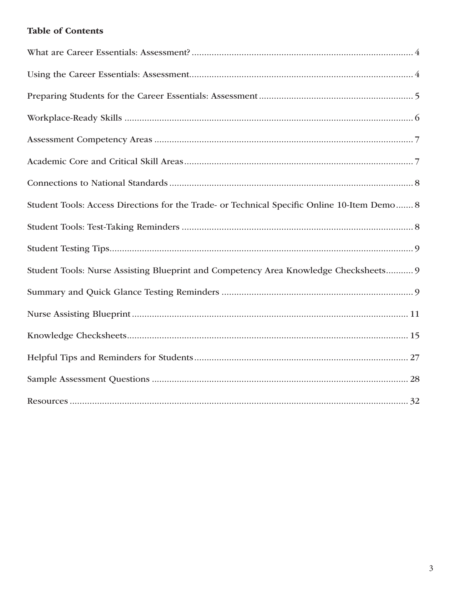## **Table of Contents**

| Student Tools: Access Directions for the Trade- or Technical Specific Online 10-Item Demo 8 |
|---------------------------------------------------------------------------------------------|
|                                                                                             |
|                                                                                             |
| Student Tools: Nurse Assisting Blueprint and Competency Area Knowledge Checksheets 9        |
|                                                                                             |
|                                                                                             |
|                                                                                             |
|                                                                                             |
|                                                                                             |
|                                                                                             |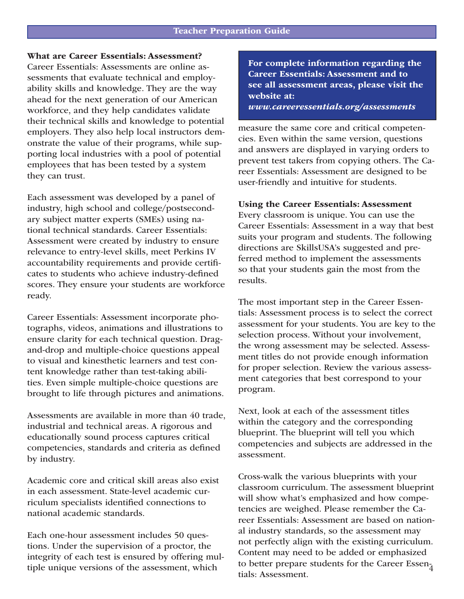## What are Career Essentials: Assessment?

Career Essentials: Assessments are online assessments that evaluate technical and employability skills and knowledge. They are the way ahead for the next generation of our American workforce, and they help candidates validate their technical skills and knowledge to potential employers. They also help local instructors demonstrate the value of their programs, while supporting local industries with a pool of potential employees that has been tested by a system they can trust.

Each assessment was developed by a panel of industry, high school and college/postsecondary subject matter experts (SMEs) using national technical standards. Career Essentials: Assessment were created by industry to ensure relevance to entry-level skills, meet Perkins IV accountability requirements and provide certificates to students who achieve industry-defined scores. They ensure your students are workforce ready.

Career Essentials: Assessment incorporate photographs, videos, animations and illustrations to ensure clarity for each technical question. Dragand-drop and multiple-choice questions appeal to visual and kinesthetic learners and test content knowledge rather than test-taking abilities. Even simple multiple-choice questions are brought to life through pictures and animations.

Assessments are available in more than 40 trade, industrial and technical areas. A rigorous and educationally sound process captures critical competencies, standards and criteria as defined by industry.

Academic core and critical skill areas also exist in each assessment. State-level academic curriculum specialists identified connections to national academic standards.

Each one-hour assessment includes 50 questions. Under the supervision of a proctor, the integrity of each test is ensured by offering multiple unique versions of the assessment, which

For complete information regarding the Career Essentials: Assessment and to see all assessment areas, please visit the website at: *www.careeressentials.org/assessments* 

measure the same core and critical competencies. Even within the same version, questions and answers are displayed in varying orders to prevent test takers from copying others. The Career Essentials: Assessment are designed to be user-friendly and intuitive for students.

### Using the Career Essentials: Assessment

Every classroom is unique. You can use the Career Essentials: Assessment in a way that best suits your program and students. The following directions are SkillsUSA's suggested and preferred method to implement the assessments so that your students gain the most from the results.

The most important step in the Career Essentials: Assessment process is to select the correct assessment for your students. You are key to the selection process. Without your involvement, the wrong assessment may be selected. Assessment titles do not provide enough information for proper selection. Review the various assessment categories that best correspond to your program.

Next, look at each of the assessment titles within the category and the corresponding blueprint. The blueprint will tell you which competencies and subjects are addressed in the assessment.

to better prepare students for the Career Essen-Cross-walk the various blueprints with your classroom curriculum. The assessment blueprint will show what's emphasized and how competencies are weighed. Please remember the Career Essentials: Assessment are based on national industry standards, so the assessment may not perfectly align with the existing curriculum. Content may need to be added or emphasized tials: Assessment.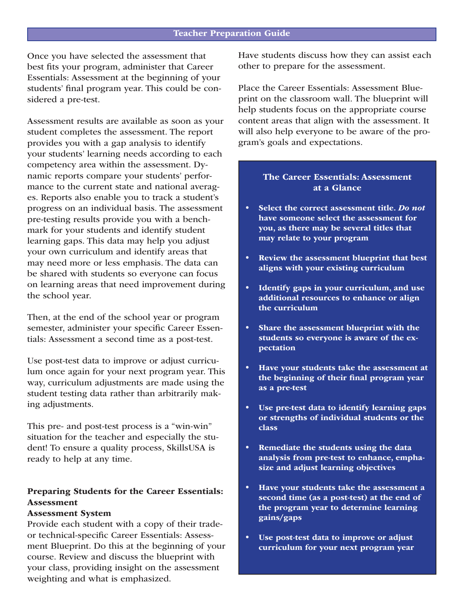Once you have selected the assessment that best fits your program, administer that Career Essentials: Assessment at the beginning of your students' final program year. This could be considered a pre-test.

Assessment results are available as soon as your student completes the assessment. The report provides you with a gap analysis to identify your students' learning needs according to each competency area within the assessment. Dynamic reports compare your students' performance to the current state and national averages. Reports also enable you to track a student's progress on an individual basis. The assessment pre-testing results provide you with a benchmark for your students and identify student learning gaps. This data may help you adjust your own curriculum and identify areas that may need more or less emphasis. The data can be shared with students so everyone can focus on learning areas that need improvement during the school year.

Then, at the end of the school year or program semester, administer your specific Career Essentials: Assessment a second time as a post-test.

Use post-test data to improve or adjust curriculum once again for your next program year. This way, curriculum adjustments are made using the student testing data rather than arbitrarily making adjustments.

This pre- and post-test process is a "win-win" situation for the teacher and especially the student! To ensure a quality process, SkillsUSA is ready to help at any time.

## Preparing Students for the Career Essentials: Assessment

#### Assessment System

Provide each student with a copy of their tradeor technical-specific Career Essentials: Assessment Blueprint. Do this at the beginning of your course. Review and discuss the blueprint with your class, providing insight on the assessment weighting and what is emphasized.

Have students discuss how they can assist each other to prepare for the assessment.

Place the Career Essentials: Assessment Blueprint on the classroom wall. The blueprint will help students focus on the appropriate course content areas that align with the assessment. It will also help everyone to be aware of the program's goals and expectations.

## The Career Essentials: Assessment at a Glance

- Select the correct assessment title. *Do not*  have someone select the assessment for you, as there may be several titles that may relate to your program
- Review the assessment blueprint that best aligns with your existing curriculum
- Identify gaps in your curriculum, and use additional resources to enhance or align the curriculum
- Share the assessment blueprint with the students so everyone is aware of the expectation
- Have your students take the assessment at the beginning of their final program year as a pre-test
- Use pre-test data to identify learning gaps or strengths of individual students or the class
- Remediate the students using the data analysis from pre-test to enhance, emphasize and adjust learning objectives
- Have your students take the assessment a second time (as a post-test) at the end of the program year to determine learning gains/gaps
- Use post-test data to improve or adjust curriculum for your next program year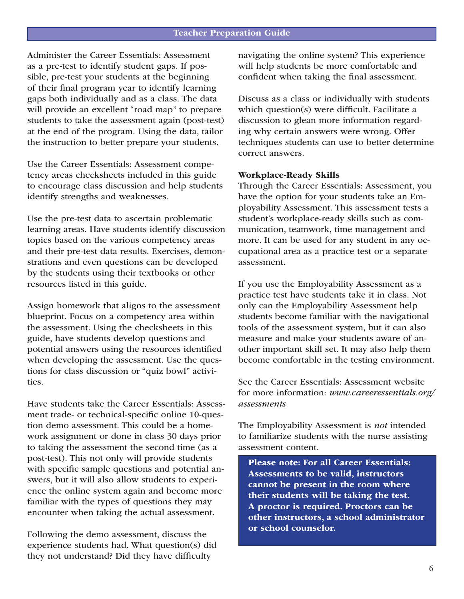Administer the Career Essentials: Assessment as a pre-test to identify student gaps. If possible, pre-test your students at the beginning of their final program year to identify learning gaps both individually and as a class. The data will provide an excellent "road map" to prepare students to take the assessment again (post-test) at the end of the program. Using the data, tailor the instruction to better prepare your students.

Use the Career Essentials: Assessment competency areas checksheets included in this guide to encourage class discussion and help students identify strengths and weaknesses.

Use the pre-test data to ascertain problematic learning areas. Have students identify discussion topics based on the various competency areas and their pre-test data results. Exercises, demonstrations and even questions can be developed by the students using their textbooks or other resources listed in this guide.

Assign homework that aligns to the assessment blueprint. Focus on a competency area within the assessment. Using the checksheets in this guide, have students develop questions and potential answers using the resources identified when developing the assessment. Use the questions for class discussion or "quiz bowl" activities.

Have students take the Career Essentials: Assessment trade- or technical-specific online 10-question demo assessment. This could be a homework assignment or done in class 30 days prior to taking the assessment the second time (as a post-test). This not only will provide students with specific sample questions and potential answers, but it will also allow students to experience the online system again and become more familiar with the types of questions they may encounter when taking the actual assessment.

Following the demo assessment, discuss the experience students had. What question(s) did they not understand? Did they have difficulty

navigating the online system? This experience will help students be more comfortable and confident when taking the final assessment.

Discuss as a class or individually with students which question(s) were difficult. Facilitate a discussion to glean more information regarding why certain answers were wrong. Offer techniques students can use to better determine correct answers.

### Workplace-Ready Skills

Through the Career Essentials: Assessment, you have the option for your students take an Employability Assessment. This assessment tests a student's workplace-ready skills such as communication, teamwork, time management and more. It can be used for any student in any occupational area as a practice test or a separate assessment.

If you use the Employability Assessment as a practice test have students take it in class. Not only can the Employability Assessment help students become familiar with the navigational tools of the assessment system, but it can also measure and make your students aware of another important skill set. It may also help them become comfortable in the testing environment.

See the Career Essentials: Assessment website for more information: *www.careeressentials.org/ assessments* 

The Employability Assessment is *not* intended to familiarize students with the nurse assisting assessment content.

Please note: For all Career Essentials: Assessments to be valid, instructors cannot be present in the room where their students will be taking the test. A proctor is required. Proctors can be other instructors, a school administrator or school counselor.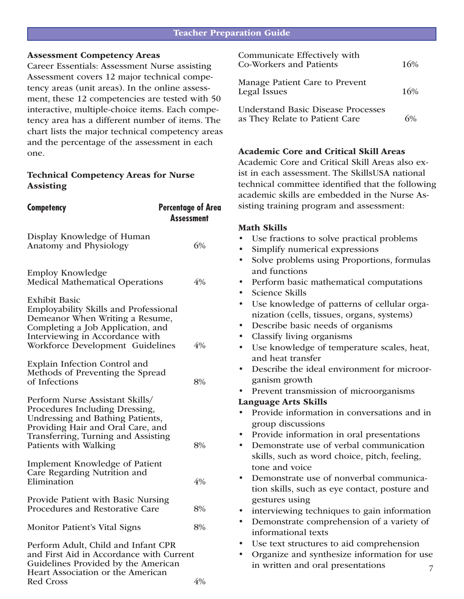### Assessment Competency Areas

Career Essentials: Assessment Nurse assisting Assessment covers 12 major technical competency areas (unit areas). In the online assessment, these 12 competencies are tested with 50 interactive, multiple-choice items. Each competency area has a different number of items. The chart lists the major technical competency areas and the percentage of the assessment in each one.

## Technical Competency Areas for Nurse Assisting

| <b>Competency</b>                                                                                                                                                                                                   | Percentage of Area<br>Assessment |
|---------------------------------------------------------------------------------------------------------------------------------------------------------------------------------------------------------------------|----------------------------------|
| Display Knowledge of Human<br><b>Anatomy and Physiology</b>                                                                                                                                                         | 6%                               |
| <b>Employ Knowledge</b><br><b>Medical Mathematical Operations</b>                                                                                                                                                   | 4%                               |
| <b>Exhibit Basic</b><br><b>Employability Skills and Professional</b><br>Demeanor When Writing a Resume,<br>Completing a Job Application, and<br>Interviewing in Accordance with<br>Workforce Development Guidelines | 4%                               |
| Explain Infection Control and<br>Methods of Preventing the Spread<br>of Infections                                                                                                                                  | 8%                               |
| Perform Nurse Assistant Skills/<br>Procedures Including Dressing,<br>Undressing and Bathing Patients,<br>Providing Hair and Oral Care, and<br>Transferring, Turning and Assisting<br>Patients with Walking          | 8%                               |
| <b>Implement Knowledge of Patient</b><br>Care Regarding Nutrition and<br>Elimination                                                                                                                                | 4%                               |
| Provide Patient with Basic Nursing<br>Procedures and Restorative Care                                                                                                                                               | 8%                               |
| <b>Monitor Patient's Vital Signs</b>                                                                                                                                                                                | 8%                               |
| Perform Adult, Child and Infant CPR<br>and First Aid in Accordance with Current<br>Guidelines Provided by the American<br>Heart Association or the American                                                         |                                  |

| Communicate Effectively with<br><b>Co-Workers and Patients</b>              | 16% |
|-----------------------------------------------------------------------------|-----|
| Manage Patient Care to Prevent<br>Legal Issues                              | 16% |
| <b>Understand Basic Disease Processes</b><br>as They Relate to Patient Care |     |

## Academic Core and Critical Skill Areas

Academic Core and Critical Skill Areas also exist in each assessment. The SkillsUSA national technical committee identified that the following academic skills are embedded in the Nurse Assisting training program and assessment:

## Math Skills

- Use fractions to solve practical problems
- Simplify numerical expressions
- Solve problems using Proportions, formulas and functions
- Perform basic mathematical computations
- Science Skills
- Use knowledge of patterns of cellular organization (cells, tissues, organs, systems)
- Describe basic needs of organisms
- Classify living organisms
- Use knowledge of temperature scales, heat, and heat transfer
- Describe the ideal environment for microorganism growth
- Prevent transmission of microorganisms

## Language Arts Skills

- Provide information in conversations and in group discussions
- Provide information in oral presentations
- Demonstrate use of verbal communication skills, such as word choice, pitch, feeling, tone and voice
- Demonstrate use of nonverbal communication skills, such as eye contact, posture and gestures using
- interviewing techniques to gain information
- Demonstrate comprehension of a variety of informational texts
- Use text structures to aid comprehension
- 7 • Organize and synthesize information for use in written and oral presentations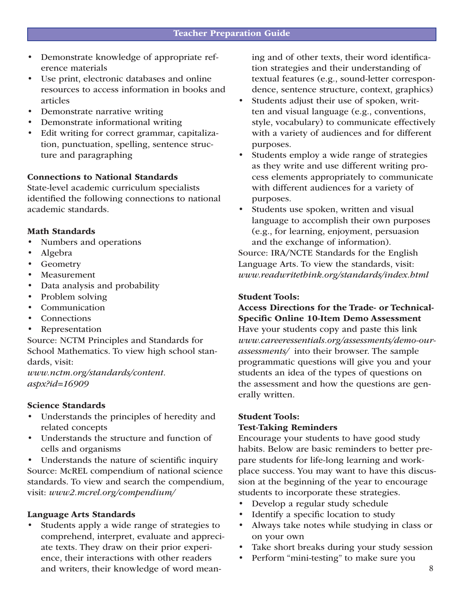- Demonstrate knowledge of appropriate reference materials
- Use print, electronic databases and online resources to access information in books and articles
- Demonstrate narrative writing
- Demonstrate informational writing
- Edit writing for correct grammar, capitalization, punctuation, spelling, sentence structure and paragraphing

### Connections to National Standards

State-level academic curriculum specialists identified the following connections to national academic standards.

### Math Standards

- Numbers and operations
- Algebra
- **Geometry**
- **Measurement**
- Data analysis and probability
- Problem solving
- **Communication**
- **Connections**
- **Representation**

Source: NCTM Principles and Standards for School Mathematics. To view high school standards, visit:

*www.nctm.org/standards/content. aspx?id=16909*

### Science Standards

- Understands the principles of heredity and related concepts
- Understands the structure and function of cells and organisms
- Understands the nature of scientific inquiry Source: McREL compendium of national science standards. To view and search the compendium, visit: *www2.mcrel.org/compendium/*

### Language Arts Standards

• Students apply a wide range of strategies to comprehend, interpret, evaluate and appreciate texts. They draw on their prior experience, their interactions with other readers and writers, their knowledge of word meaning and of other texts, their word identification strategies and their understanding of textual features (e.g., sound-letter correspondence, sentence structure, context, graphics)

- Students adjust their use of spoken, written and visual language (e.g., conventions, style, vocabulary) to communicate effectively with a variety of audiences and for different purposes.
- Students employ a wide range of strategies as they write and use different writing process elements appropriately to communicate with different audiences for a variety of purposes.
- Students use spoken, written and visual language to accomplish their own purposes (e.g., for learning, enjoyment, persuasion and the exchange of information).

Source: IRA/NCTE Standards for the English Language Arts. To view the standards, visit: *www.readwritethink.org/standards/index.html*

#### Student Tools:

Access Directions for the Trade- or Technical-Specific Online 10-Item Demo Assessment Have your students copy and paste this link *www.careeressentials.org/assessments/demo-ourassessments/* into their browser. The sample programmatic questions will give you and your students an idea of the types of questions on the assessment and how the questions are generally written.

## Student Tools: Test-Taking Reminders

Encourage your students to have good study habits. Below are basic reminders to better prepare students for life-long learning and workplace success. You may want to have this discussion at the beginning of the year to encourage students to incorporate these strategies.

- Develop a regular study schedule
- Identify a specific location to study
- Always take notes while studying in class or on your own
- Take short breaks during your study session
- Perform "mini-testing" to make sure you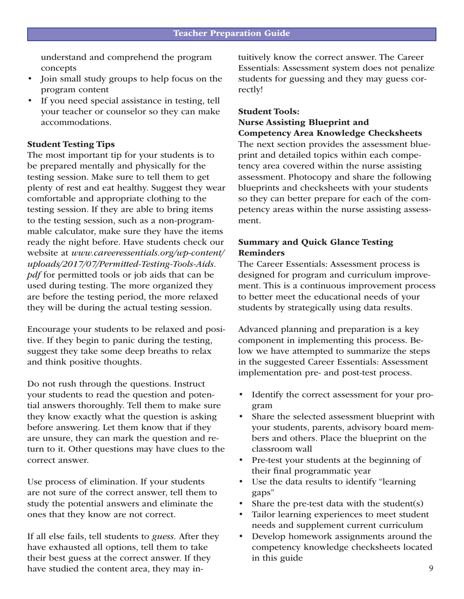understand and comprehend the program concepts

- Join small study groups to help focus on the program content
- If you need special assistance in testing, tell your teacher or counselor so they can make accommodations.

### Student Testing Tips

The most important tip for your students is to be prepared mentally and physically for the testing session. Make sure to tell them to get plenty of rest and eat healthy. Suggest they wear comfortable and appropriate clothing to the testing session. If they are able to bring items to the testing session, such as a non-programmable calculator, make sure they have the items ready the night before. Have students check our website at *www.careeressentials.org/wp-content/ uploads/2017/07/Permitted-Testing-Tools-Aids. pdf* for permitted tools or job aids that can be used during testing. The more organized they are before the testing period, the more relaxed they will be during the actual testing session.

Encourage your students to be relaxed and positive. If they begin to panic during the testing, suggest they take some deep breaths to relax and think positive thoughts.

Do not rush through the questions. Instruct your students to read the question and potential answers thoroughly. Tell them to make sure they know exactly what the question is asking before answering. Let them know that if they are unsure, they can mark the question and return to it. Other questions may have clues to the correct answer.

Use process of elimination. If your students are not sure of the correct answer, tell them to study the potential answers and eliminate the ones that they know are not correct.

If all else fails, tell students to *guess.* After they have exhausted all options, tell them to take their best guess at the correct answer. If they have studied the content area, they may intuitively know the correct answer. The Career Essentials: Assessment system does not penalize students for guessing and they may guess correctly!

#### Student Tools:

## Nurse Assisting Blueprint and Competency Area Knowledge Checksheets

The next section provides the assessment blueprint and detailed topics within each competency area covered within the nurse assisting assessment. Photocopy and share the following blueprints and checksheets with your students so they can better prepare for each of the competency areas within the nurse assisting assessment.

## Summary and Quick Glance Testing Reminders

The Career Essentials: Assessment process is designed for program and curriculum improvement. This is a continuous improvement process to better meet the educational needs of your students by strategically using data results.

Advanced planning and preparation is a key component in implementing this process. Below we have attempted to summarize the steps in the suggested Career Essentials: Assessment implementation pre- and post-test process.

- Identify the correct assessment for your program
- Share the selected assessment blueprint with your students, parents, advisory board members and others. Place the blueprint on the classroom wall
- Pre-test your students at the beginning of their final programmatic year
- Use the data results to identify "learning" gaps"
- Share the pre-test data with the student $(s)$
- Tailor learning experiences to meet student needs and supplement current curriculum
- Develop homework assignments around the competency knowledge checksheets located in this guide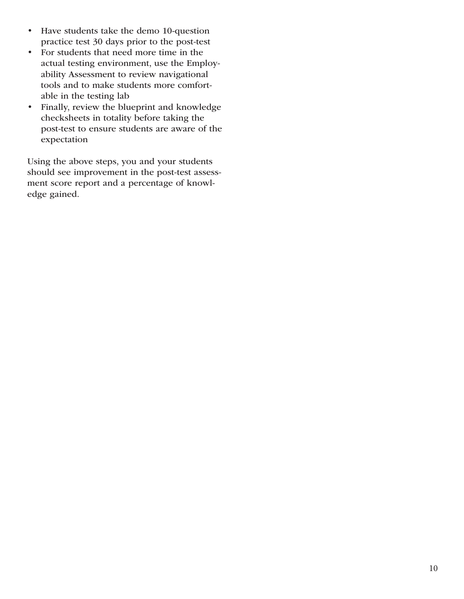- Have students take the demo 10-question practice test 30 days prior to the post-test
- For students that need more time in the actual testing environment, use the Employability Assessment to review navigational tools and to make students more comfortable in the testing lab
- Finally, review the blueprint and knowledge checksheets in totality before taking the post-test to ensure students are aware of the expectation

Using the above steps, you and your students should see improvement in the post-test assessment score report and a percentage of knowledge gained.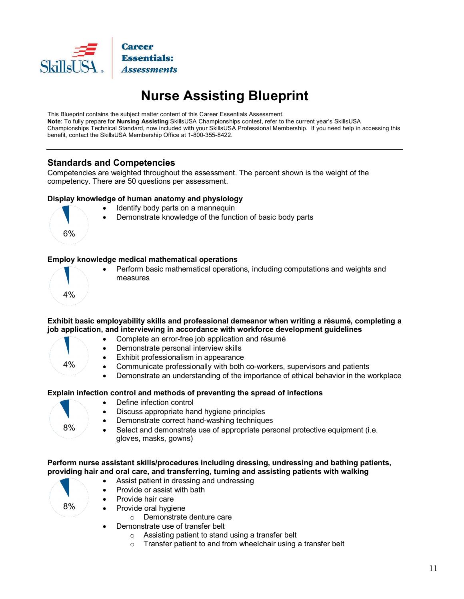

## **Nurse Assisting Blueprint**

This Blueprint contains the subject matter content of this Career Essentials Assessment. **Note**: To fully prepare for **Nursing Assisting** SkillsUSA Championships contest, refer to the current year's SkillsUSA Championships Technical Standard, now included with your SkillsUSA Professional Membership. If you need help in accessing this benefit, contact the SkillsUSA Membership Office at 1-800-355-8422.

## **Standards and Competencies**

Competencies are weighted throughout the assessment. The percent shown is the weight of the competency. There are 50 questions per assessment.

### **Display knowledge of human anatomy and physiology**

- Identify body parts on a mannequin
- Demonstrate knowledge of the function of basic body parts

#### **Employ knowledge medical mathematical operations**



6%

 Perform basic mathematical operations, including computations and weights and measures

### **Exhibit basic employability skills and professional demeanor when writing a résumé, completing a job application, and interviewing in accordance with workforce development guidelines**

- Complete an error-free job application and résumé
- Demonstrate personal interview skills
	- Exhibit professionalism in appearance
	- Communicate professionally with both co-workers, supervisors and patients
	- Demonstrate an understanding of the importance of ethical behavior in the workplace

## **Explain infection control and methods of preventing the spread of infections**



8%

4%

- Define infection control
- Discuss appropriate hand hygiene principles
- Demonstrate correct hand-washing techniques
- Select and demonstrate use of appropriate personal protective equipment (i.e. gloves, masks, gowns)

#### **Perform nurse assistant skills/procedures including dressing, undressing and bathing patients, providing hair and oral care, and transferring, turning and assisting patients with walking**

- Assist patient in dressing and undressing
- Provide or assist with bath
- Provide hair care
	- Provide oral hygiene
		- o Demonstrate denture care
- Demonstrate use of transfer belt
	- o Assisting patient to stand using a transfer belt
	- $\circ$  Transfer patient to and from wheelchair using a transfer belt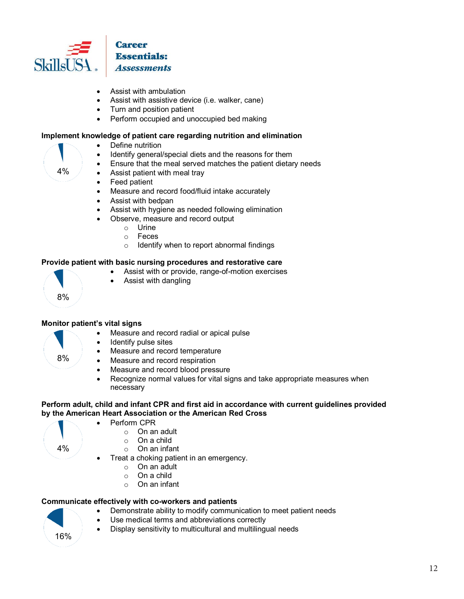

- Assist with ambulation
- Assist with assistive device (i.e. walker, cane)
- Turn and position patient
- Perform occupied and unoccupied bed making

### **Implement knowledge of patient care regarding nutrition and elimination**

- Define nutrition
	- Identify general/special diets and the reasons for them
- Ensure that the meal served matches the patient dietary needs
- Assist patient with meal tray
- Feed patient
- Measure and record food/fluid intake accurately
- Assist with bedpan
- Assist with hygiene as needed following elimination
- Observe, measure and record output
	- o Urine
	- Feces
	- o Identify when to report abnormal findings

#### **Provide patient with basic nursing procedures and restorative care**

- Assist with or provide, range-of-motion exercises
- Assist with dangling

### **Monitor patient's vital signs**

- Measure and record radial or apical pulse
- Identify pulse sites

Perform CPR

- Measure and record temperature
- Measure and record respiration
- Measure and record blood pressure
- Recognize normal values for vital signs and take appropriate measures when necessary

#### **Perform adult, child and infant CPR and first aid in accordance with current guidelines provided by the American Heart Association or the American Red Cross**

4%

8%

8%

4%

- o On an adult
- 
- $\circ$  On a child<br> $\circ$  On an infa On an infant
- Treat a choking patient in an emergency.
	- o On an adult
	- o On a child
	- o On an infant

### **Communicate effectively with co-workers and patients**

- Demonstrate ability to modify communication to meet patient needs
- Use medical terms and abbreviations correctly
- **Display sensitivity to multicultural and multilingual needs** 16%

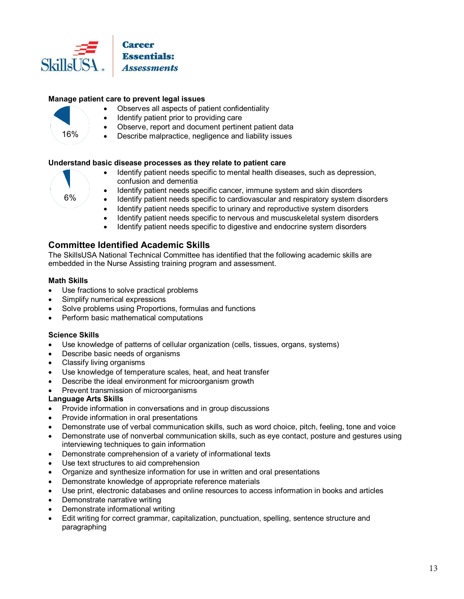

### **Manage patient care to prevent legal issues**

- Observes all aspects of patient confidentiality
- Identify patient prior to providing care
- Observe, report and document pertinent patient data
- Describe malpractice, negligence and liability issues

#### **Understand basic disease processes as they relate to patient care**

6%

16%

- Identify patient needs specific to mental health diseases, such as depression, confusion and dementia
- Identify patient needs specific cancer, immune system and skin disorders
- Identify patient needs specific to cardiovascular and respiratory system disorders
- Identify patient needs specific to urinary and reproductive system disorders
- Identify patient needs specific to nervous and muscuskeletal system disorders
- Identify patient needs specific to digestive and endocrine system disorders

## **Committee Identified Academic Skills**

The SkillsUSA National Technical Committee has identified that the following academic skills are embedded in the Nurse Assisting training program and assessment.

#### **Math Skills**

- Use fractions to solve practical problems
- Simplify numerical expressions
- Solve problems using Proportions, formulas and functions
- Perform basic mathematical computations

#### **Science Skills**

- Use knowledge of patterns of cellular organization (cells, tissues, organs, systems)
- Describe basic needs of organisms
- Classify living organisms
- Use knowledge of temperature scales, heat, and heat transfer
- Describe the ideal environment for microorganism growth
- Prevent transmission of microorganisms

#### **Language Arts Skills**

- Provide information in conversations and in group discussions
- Provide information in oral presentations
- Demonstrate use of verbal communication skills, such as word choice, pitch, feeling, tone and voice
- Demonstrate use of nonverbal communication skills, such as eye contact, posture and gestures using interviewing techniques to gain information
- Demonstrate comprehension of a variety of informational texts
- Use text structures to aid comprehension
- Organize and synthesize information for use in written and oral presentations
- Demonstrate knowledge of appropriate reference materials
- Use print, electronic databases and online resources to access information in books and articles
- Demonstrate narrative writing
- Demonstrate informational writing
- Edit writing for correct grammar, capitalization, punctuation, spelling, sentence structure and paragraphing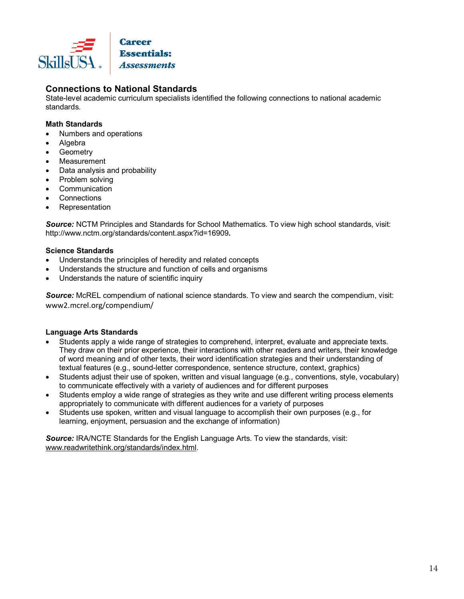

## **Connections to National Standards**

State-level academic curriculum specialists identified the following connections to national academic standards.

### **Math Standards**

- Numbers and operations
- Algebra
- Geometry
- Measurement
- Data analysis and probability
- Problem solving
- Communication
- **Connections**
- Representation

*Source:* NCTM Principles and Standards for School Mathematics. To view high school standards, visit: http://www.nctm.org/standards/content.aspx?id=16909**.**

### **Science Standards**

- Understands the principles of heredity and related concepts
- Understands the structure and function of cells and organisms
- Understands the nature of scientific inquiry

*Source:* McREL compendium of national science standards. To view and search the compendium, visit: www2.mcrel.org/compendium/

## **Language Arts Standards**

- Students apply a wide range of strategies to comprehend, interpret, evaluate and appreciate texts. They draw on their prior experience, their interactions with other readers and writers, their knowledge of word meaning and of other texts, their word identification strategies and their understanding of textual features (e.g., sound-letter correspondence, sentence structure, context, graphics)
- Students adjust their use of spoken, written and visual language (e.g., conventions, style, vocabulary) to communicate effectively with a variety of audiences and for different purposes
- Students employ a wide range of strategies as they write and use different writing process elements appropriately to communicate with different audiences for a variety of purposes
- Students use spoken, written and visual language to accomplish their own purposes (e.g., for learning, enjoyment, persuasion and the exchange of information)

*Source:* IRA/NCTE Standards for the English Language Arts. To view the standards, visit: www.readwritethink.org/standards/index.html.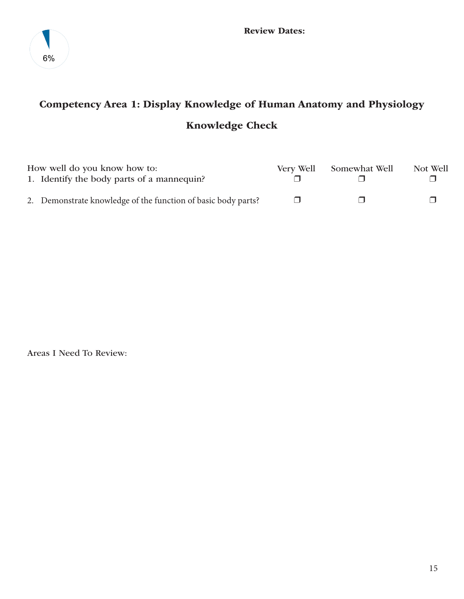

## Competency Area 1: Display Knowledge of Human Anatomy and Physiology Knowledge Check

| How well do you know how to:                                  | Very Well | Somewhat Well | Not Well |
|---------------------------------------------------------------|-----------|---------------|----------|
| 1. Identify the body parts of a mannequin?                    |           |               |          |
| 2. Demonstrate knowledge of the function of basic body parts? |           |               |          |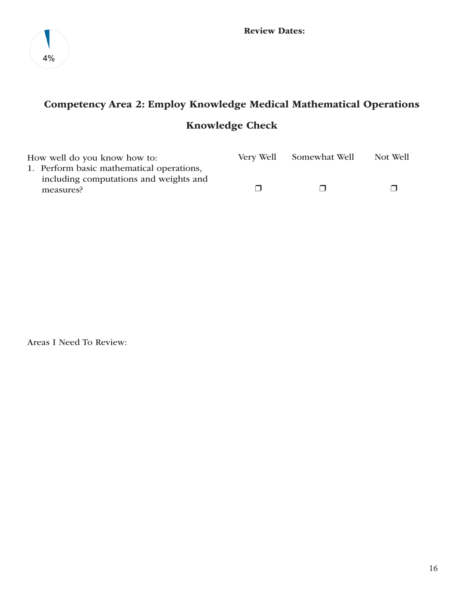

## Competency Area 2: Employ Knowledge Medical Mathematical Operations Knowledge Check

| How well do you know how to:                        | Very Well Somewhat Well | Not Well |
|-----------------------------------------------------|-------------------------|----------|
| 1. Perform basic mathematical operations,           |                         |          |
| including computations and weights and<br>measures? | $\Box$                  |          |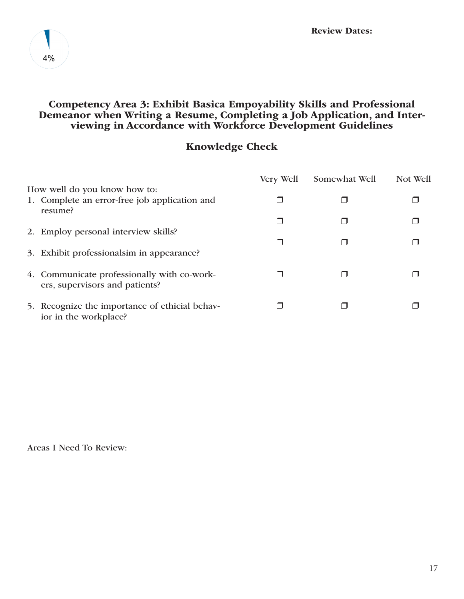

## Competency Area 3: Exhibit Basica Empoyability Skills and Professional Demeanor when Writing a Resume, Completing a Job Application, and Interviewing in Accordance with Workforce Development Guidelines

## Knowledge Check

|                                                                               | Very Well | Somewhat Well | Not Well |
|-------------------------------------------------------------------------------|-----------|---------------|----------|
| How well do you know how to:                                                  |           |               |          |
| 1. Complete an error-free job application and<br>resume?                      |           |               |          |
|                                                                               |           |               |          |
| 2. Employ personal interview skills?                                          |           |               |          |
| 3. Exhibit professionalsim in appearance?                                     |           |               |          |
| 4. Communicate professionally with co-work-<br>ers, supervisors and patients? |           |               |          |
| 5. Recognize the importance of ethicial behav-<br>ior in the workplace?       |           |               |          |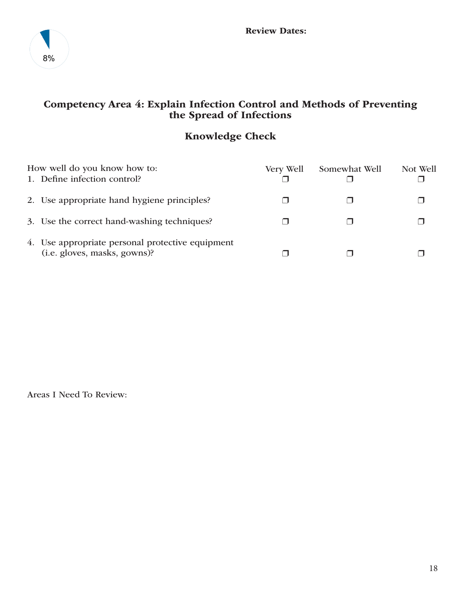

## Competency Area 4: Explain Infection Control and Methods of Preventing the Spread of Infections

## Knowledge Check

| How well do you know how to:                                                     | Very Well | Somewhat Well | Not Well |
|----------------------------------------------------------------------------------|-----------|---------------|----------|
| 1. Define infection control?                                                     |           |               |          |
| 2. Use appropriate hand hygiene principles?                                      |           |               |          |
| 3. Use the correct hand-washing techniques?                                      |           |               |          |
| 4. Use appropriate personal protective equipment<br>(i.e. gloves, masks, gowns)? |           |               |          |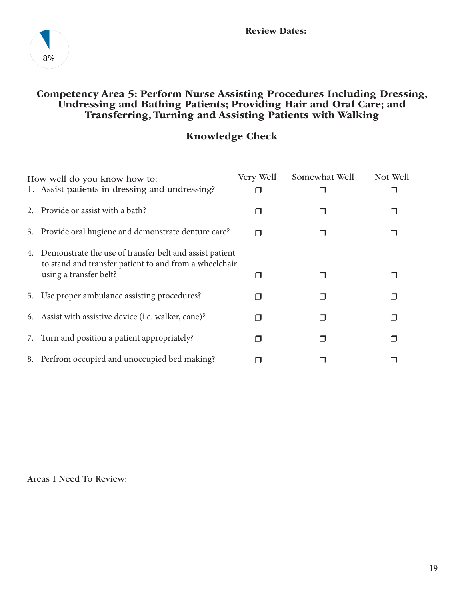

## Competency Area 5: Perform Nurse Assisting Procedures Including Dressing, Undressing and Bathing Patients; Providing Hair and Oral Care; and Transferring, Turning and Assisting Patients with Walking

## Knowledge Check

| How well do you know how to:                                                                                         | Very Well | Somewhat Well | Not Well |
|----------------------------------------------------------------------------------------------------------------------|-----------|---------------|----------|
| 1. Assist patients in dressing and undressing?                                                                       |           |               |          |
| 2. Provide or assist with a bath?                                                                                    |           |               |          |
| 3. Provide oral hugiene and demonstrate denture care?                                                                |           |               |          |
| 4. Demonstrate the use of transfer belt and assist patient<br>to stand and transfer patient to and from a wheelchair |           |               |          |
| using a transfer belt?                                                                                               |           |               |          |
| 5. Use proper ambulance assisting procedures?                                                                        |           |               |          |
| 6. Assist with assistive device (i.e. walker, cane)?                                                                 |           |               |          |
| 7. Turn and position a patient appropriately?                                                                        |           |               |          |
| 8. Perfrom occupied and unoccupied bed making?                                                                       |           |               |          |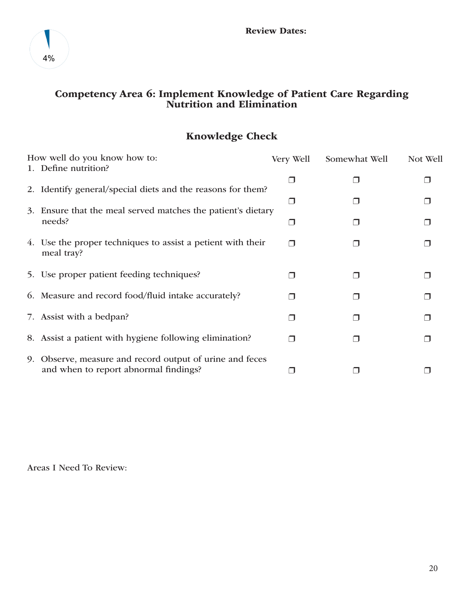

## Competency Area 6: Implement Knowledge of Patient Care Regarding Nutrition and Elimination

## Knowledge Check

| How well do you know how to:                                                                      | Very Well | Somewhat Well | Not Well |
|---------------------------------------------------------------------------------------------------|-----------|---------------|----------|
| 1. Define nutrition?                                                                              |           |               |          |
| 2. Identify general/special diets and the reasons for them?                                       |           |               |          |
| 3. Ensure that the meal served matches the patient's dietary                                      |           |               |          |
| needs?                                                                                            |           |               |          |
| 4. Use the proper techniques to assist a petient with their<br>meal tray?                         | ⊓         |               |          |
| 5. Use proper patient feeding techniques?                                                         | H         |               |          |
| 6. Measure and record food/fluid intake accurately?                                               | ⊓         |               |          |
| 7. Assist with a bedpan?                                                                          |           |               |          |
| 8. Assist a patient with hygiene following elimination?                                           | ⊓         |               |          |
| 9. Observe, measure and record output of urine and feces<br>and when to report abnormal findings? |           |               |          |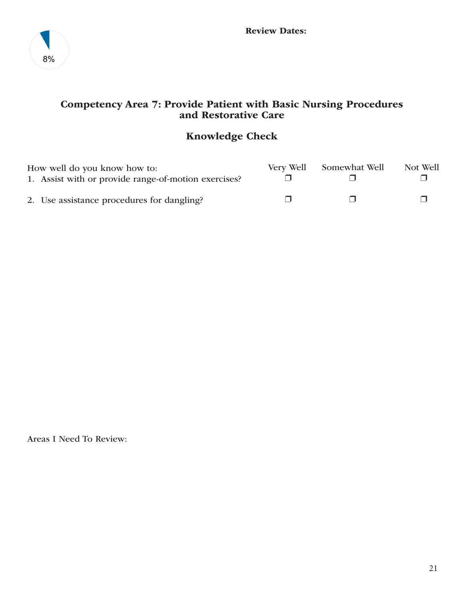

## Competency Area 7: Provide Patient with Basic Nursing Procedures and Restorative Care

## Knowledge Check

| How well do you know how to:                         | Very Well | Somewhat Well | Not Well |
|------------------------------------------------------|-----------|---------------|----------|
| 1. Assist with or provide range-of-motion exercises? |           |               |          |
| 2. Use assistance procedures for dangling?           |           |               |          |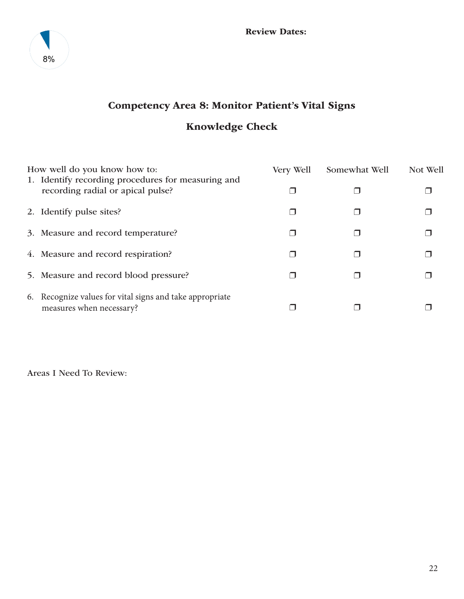

## Competency Area 8: Monitor Patient's Vital Signs Knowledge Check

| How well do you know how to:                                                            | Very Well | Somewhat Well | Not Well |
|-----------------------------------------------------------------------------------------|-----------|---------------|----------|
| 1. Identify recording procedures for measuring and<br>recording radial or apical pulse? |           |               |          |
| 2. Identify pulse sites?                                                                |           |               |          |
| 3. Measure and record temperature?                                                      |           |               |          |
| 4. Measure and record respiration?                                                      |           |               |          |
| 5. Measure and record blood pressure?                                                   |           |               |          |
| 6. Recognize values for vital signs and take appropriate<br>measures when necessary?    |           |               |          |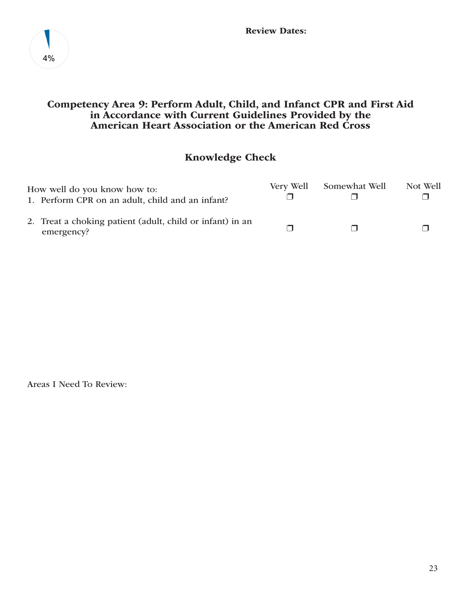

## Competency Area 9: Perform Adult, Child, and Infanct CPR and First Aid in Accordance with Current Guidelines Provided by the American Heart Association or the American Red Cross

## Knowledge Check

| How well do you know how to:<br>1. Perform CPR on an adult, child and an infant? | Very Well | Somewhat Well | Not Well |
|----------------------------------------------------------------------------------|-----------|---------------|----------|
| 2. Treat a choking patient (adult, child or infant) in an<br>emergency?          |           |               |          |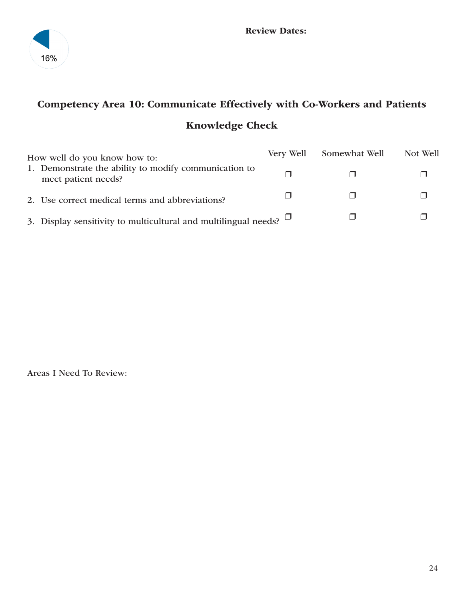

## Competency Area 10: Communicate Effectively with Co-Workers and Patients Knowledge Check

| How well do you know how to: |                                                                              | Very Well | Somewhat Well | Not Well |
|------------------------------|------------------------------------------------------------------------------|-----------|---------------|----------|
|                              | 1. Demonstrate the ability to modify communication to<br>meet patient needs? |           |               |          |
|                              | 2. Use correct medical terms and abbreviations?                              |           |               |          |
|                              | 3. Display sensitivity to multicultural and multilingual needs? $\Box$       |           |               |          |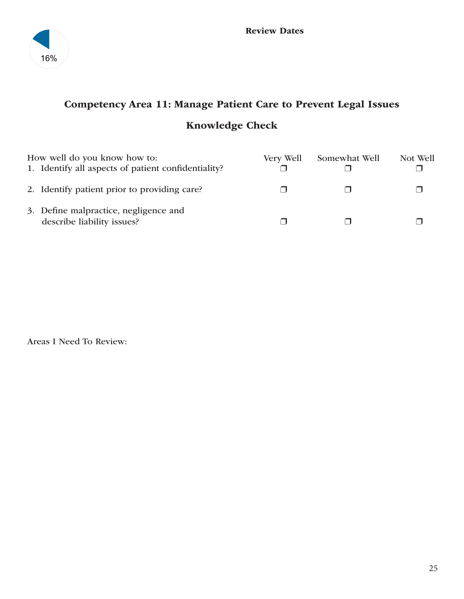

## Competency Area 11: Manage Patient Care to Prevent Legal Issues Knowledge Check

| How well do you know how to:<br>1. Identify all aspects of patient confidentiality? | Very Well | Somewhat Well | Not Well |
|-------------------------------------------------------------------------------------|-----------|---------------|----------|
| 2. Identify patient prior to providing care?                                        |           |               |          |
| 3. Define malpractice, negligence and<br>describe liability issues?                 |           |               |          |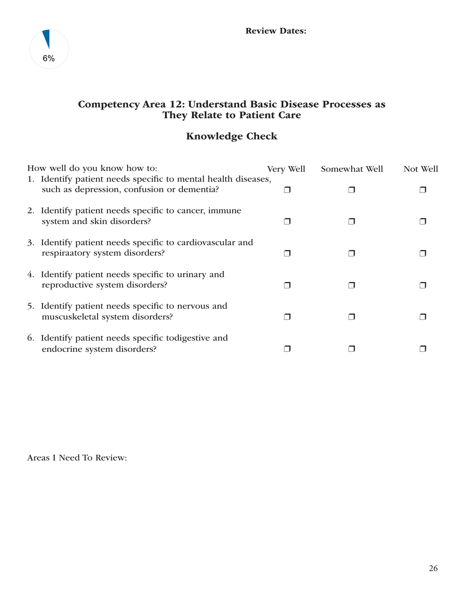

## Competency Area 12: Understand Basic Disease Processes as They Relate to Patient Care

## Knowledge Check

| How well do you know how to: |                                                                                            | Very Well | Somewhat Well | Not Well |  |
|------------------------------|--------------------------------------------------------------------------------------------|-----------|---------------|----------|--|
|                              | 1. Identify patient needs specific to mental health diseases,                              |           |               |          |  |
|                              | such as depression, confusion or dementia?                                                 |           |               |          |  |
|                              | 2. Identify patient needs specific to cancer, immune<br>system and skin disorders?         |           |               |          |  |
|                              | 3. Identify patient needs specific to cardiovascular and<br>respiraatory system disorders? |           |               |          |  |
|                              | 4. Identify patient needs specific to urinary and<br>reproductive system disorders?        |           |               |          |  |
|                              | 5. Identify patient needs specific to nervous and<br>muscuskeletal system disorders?       |           |               |          |  |
|                              | 6. Identify patient needs specific todigestive and<br>endocrine system disorders?          |           |               |          |  |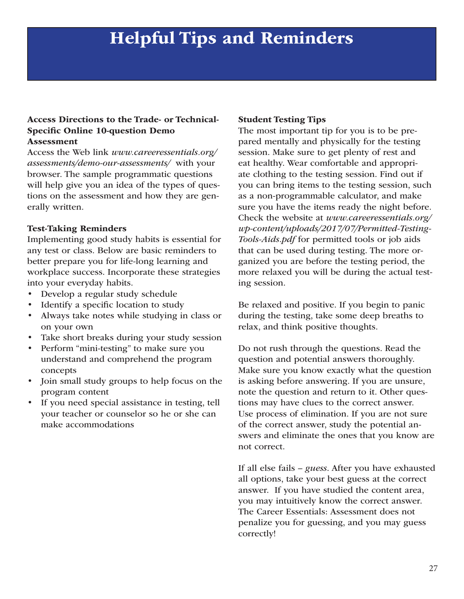## Helpful Tips and Reminders

### Access Directions to the Trade- or Technical-Specific Online 10-question Demo Assessment

Access the Web link *www.careeressentials.org/ assessments/demo-our-assessments/* with your browser. The sample programmatic questions will help give you an idea of the types of questions on the assessment and how they are generally written.

## Test-Taking Reminders

Implementing good study habits is essential for any test or class. Below are basic reminders to better prepare you for life-long learning and workplace success. Incorporate these strategies into your everyday habits.

- Develop a regular study schedule
- Identify a specific location to study
- Always take notes while studying in class or on your own
- Take short breaks during your study session
- Perform "mini-testing" to make sure you understand and comprehend the program concepts
- Join small study groups to help focus on the program content
- If you need special assistance in testing, tell your teacher or counselor so he or she can make accommodations

#### Student Testing Tips

The most important tip for you is to be prepared mentally and physically for the testing session. Make sure to get plenty of rest and eat healthy. Wear comfortable and appropriate clothing to the testing session. Find out if you can bring items to the testing session, such as a non-programmable calculator, and make sure you have the items ready the night before. Check the website at *www.careeressentials.org/ wp-content/uploads/2017/07/Permitted-Testing-Tools-Aids.pdf* for permitted tools or job aids that can be used during testing. The more organized you are before the testing period, the more relaxed you will be during the actual testing session.

Be relaxed and positive. If you begin to panic during the testing, take some deep breaths to relax, and think positive thoughts.

Do not rush through the questions. Read the question and potential answers thoroughly. Make sure you know exactly what the question is asking before answering. If you are unsure, note the question and return to it. Other questions may have clues to the correct answer. Use process of elimination. If you are not sure of the correct answer, study the potential answers and eliminate the ones that you know are not correct.

If all else fails – *guess*. After you have exhausted all options, take your best guess at the correct answer. If you have studied the content area, you may intuitively know the correct answer. The Career Essentials: Assessment does not penalize you for guessing, and you may guess correctly!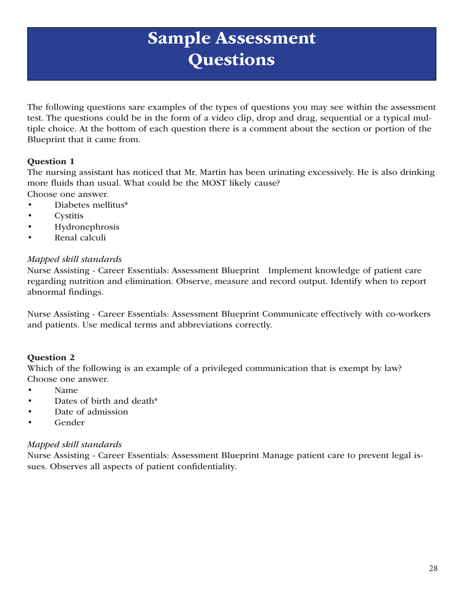## Sample Assessment **Questions**

The following questions sare examples of the types of questions you may see within the assessment test. The questions could be in the form of a video clip, drop and drag, sequential or a typical multiple choice. At the bottom of each question there is a comment about the section or portion of the Blueprint that it came from.

## Question 1

The nursing assistant has noticed that Mr. Martin has been urinating excessively. He is also drinking more fluids than usual. What could be the MOST likely cause? Choose one answer.

- Diabetes mellitus\*
- **Cystitis**
- **Hydronephrosis**
- Renal calculi

## *Mapped skill standards*

Nurse Assisting - Career Essentials: Assessment Blueprint Implement knowledge of patient care regarding nutrition and elimination. Observe, measure and record output. Identify when to report abnormal findings.

Nurse Assisting - Career Essentials: Assessment Blueprint Communicate effectively with co-workers and patients. Use medical terms and abbreviations correctly.

## Question 2

Which of the following is an example of a privileged communication that is exempt by law? Choose one answer.

- Name
- Dates of birth and death\*
- Date of admission
- Gender

## *Mapped skill standards*

Nurse Assisting - Career Essentials: Assessment Blueprint Manage patient care to prevent legal issues. Observes all aspects of patient confidentiality.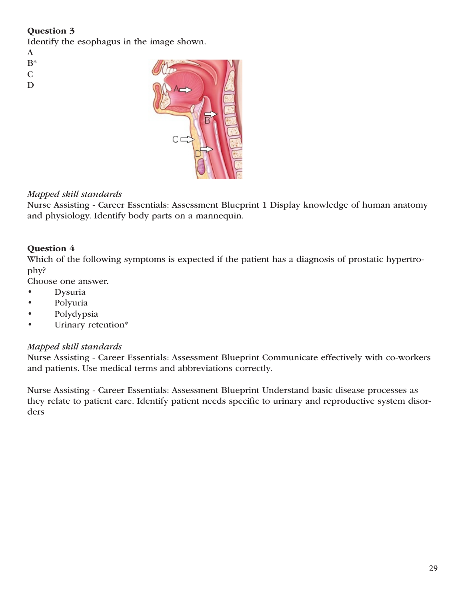## Question 3

Identify the esophagus in the image shown.

A

- B\*
- C
- D
- 

## *Mapped skill standards*

Nurse Assisting - Career Essentials: Assessment Blueprint 1 Display knowledge of human anatomy and physiology. Identify body parts on a mannequin.

## Question 4

Which of the following symptoms is expected if the patient has a diagnosis of prostatic hypertrophy?

Choose one answer.

- Dysuria
- Polyuria
- Polydypsia
- Urinary retention\*

## *Mapped skill standards*

Nurse Assisting - Career Essentials: Assessment Blueprint Communicate effectively with co-workers and patients. Use medical terms and abbreviations correctly.

Nurse Assisting - Career Essentials: Assessment Blueprint Understand basic disease processes as they relate to patient care. Identify patient needs specific to urinary and reproductive system disorders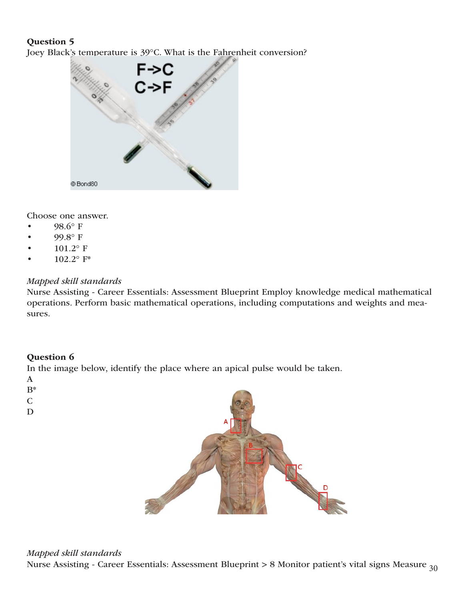## Question 5

Joey Black's temperature is 39°C. What is the Fahrenheit conversion?



Choose one answer.

- 98.6° F
- 99.8° F
- $101.2^{\circ}$  F
- $102.2^{\circ}$  F\*

## *Mapped skill standards*

Nurse Assisting - Career Essentials: Assessment Blueprint Employ knowledge medical mathematical operations. Perform basic mathematical operations, including computations and weights and measures.

## Question 6

In the image below, identify the place where an apical pulse would be taken.

- A
- 
- B\* C
- 
- D

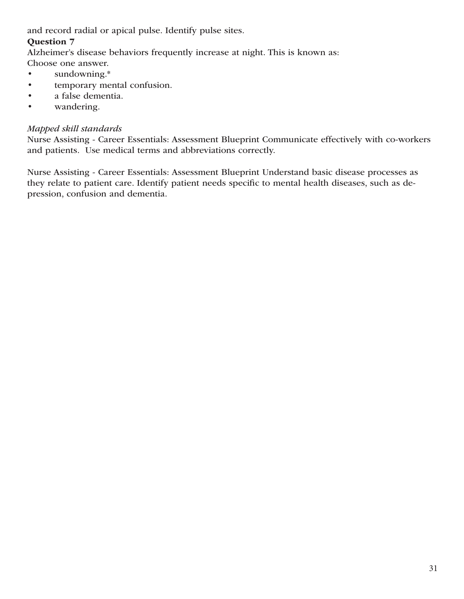and record radial or apical pulse. Identify pulse sites.

## Question 7

Alzheimer's disease behaviors frequently increase at night. This is known as:

- Choose one answer.
- sundowning.\*
- temporary mental confusion.
- a false dementia.
- wandering.

## *Mapped skill standards*

Nurse Assisting - Career Essentials: Assessment Blueprint Communicate effectively with co-workers and patients. Use medical terms and abbreviations correctly.

Nurse Assisting - Career Essentials: Assessment Blueprint Understand basic disease processes as they relate to patient care. Identify patient needs specific to mental health diseases, such as depression, confusion and dementia.